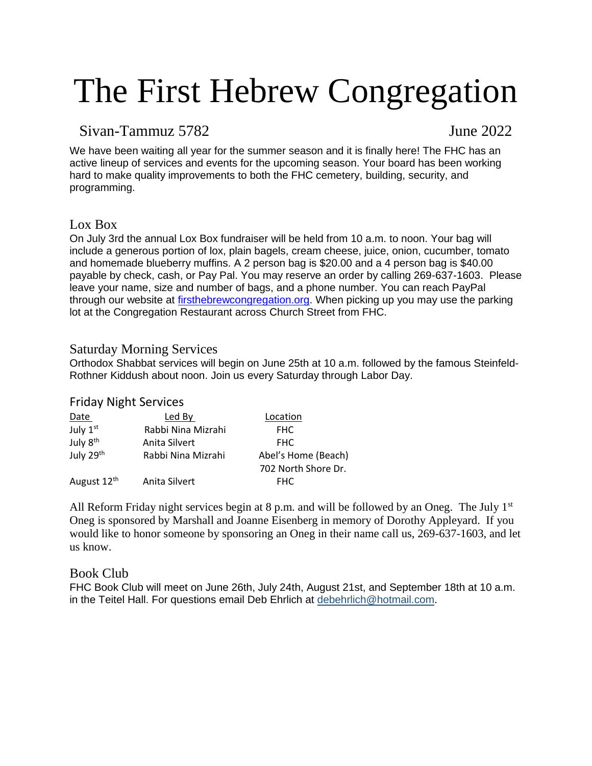# The First Hebrew Congregation

# Sivan-Tammuz 5782 June 2022

We have been waiting all year for the summer season and it is finally here! The FHC has an active lineup of services and events for the upcoming season. Your board has been working hard to make quality improvements to both the FHC cemetery, building, security, and programming.

# Lox Box

On July 3rd the annual Lox Box fundraiser will be held from 10 a.m. to noon. Your bag will include a generous portion of lox, plain bagels, cream cheese, juice, onion, cucumber, tomato and homemade blueberry muffins. A 2 person bag is \$20.00 and a 4 person bag is \$40.00 payable by check, cash, or Pay Pal. You may reserve an order by calling 269-637-1603. Please leave your name, size and number of bags, and a phone number. You can reach PayPal through our website at [firsthebrewcongregation.org.](http://firsthebrewcongregation.org/) When picking up you may use the parking lot at the Congregation Restaurant across Church Street from FHC.

# Saturday Morning Services

Orthodox Shabbat services will begin on June 25th at 10 a.m. followed by the famous Steinfeld-Rothner Kiddush about noon. Join us every Saturday through Labor Day.

## Friday Night Services

| Date                    | Led By             | Location            |
|-------------------------|--------------------|---------------------|
| July 1st                | Rabbi Nina Mizrahi | <b>FHC</b>          |
| July 8 <sup>th</sup>    | Anita Silvert      | FHC.                |
| July 29th               | Rabbi Nina Mizrahi | Abel's Home (Beach) |
|                         |                    | 702 North Shore Dr. |
| August 12 <sup>th</sup> | Anita Silvert      | FHC.                |

All Reform Friday night services begin at 8 p.m. and will be followed by an Oneg. The July  $1<sup>st</sup>$ Oneg is sponsored by Marshall and Joanne Eisenberg in memory of Dorothy Appleyard. If you would like to honor someone by sponsoring an Oneg in their name call us, 269-637-1603, and let us know.

## Book Club

FHC Book Club will meet on June 26th, July 24th, August 21st, and September 18th at 10 a.m. in the Teitel Hall. For questions email Deb Ehrlich at [debehrlich@hotmail.com.](mailto:debehrlich@hotmail.com)